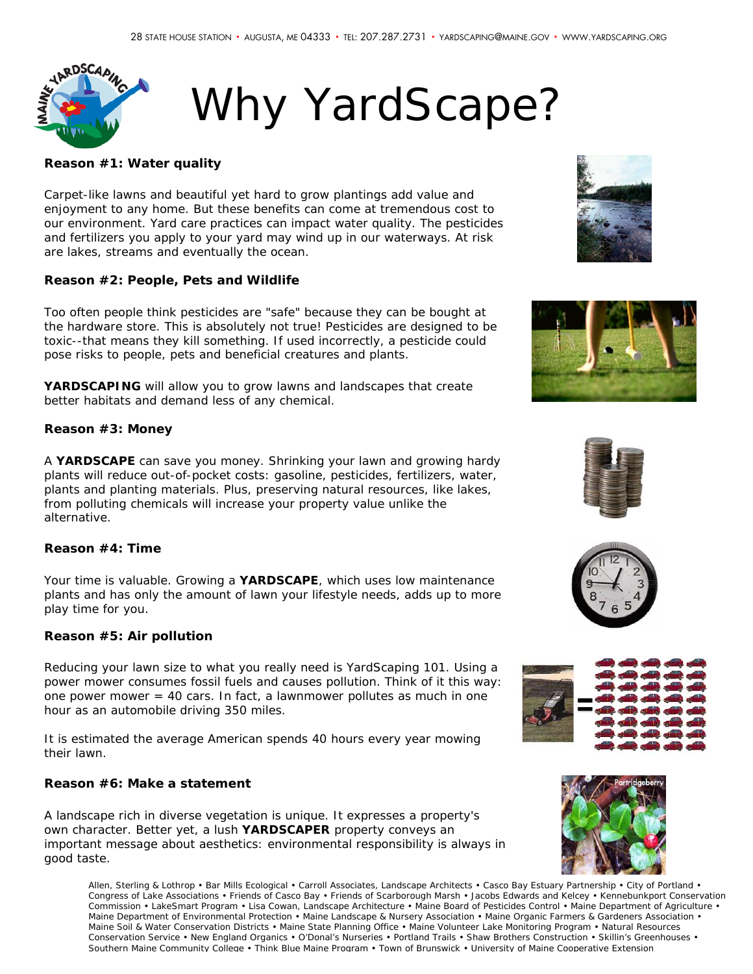

# Why YardScape?

#### **Reason #1: Water quality**

Carpet-like lawns and beautiful yet hard to grow plantings add value and enjoyment to any home. But these benefits can come at tremendous cost to our environment. Yard care practices can impact water quality. The pesticides and fertilizers you apply to your yard may wind up in our waterways. At risk are lakes, streams and eventually the ocean.

#### **Reason #2: People, Pets and Wildlife**

Too often people think pesticides are "safe" because they can be bought at the hardware store. This is absolutely not true! Pesticides are designed to be toxic--that means they kill something. If used incorrectly, a pesticide could pose risks to people, pets and beneficial creatures and plants.

**YARDSCAPING** will allow you to grow lawns and landscapes that create better habitats and demand less of any chemical.

#### **Reason #3: Money**

A **YARDSCAPE** can save you money. Shrinking your lawn and growing hardy plants will reduce out-of-pocket costs: gasoline, pesticides, fertilizers, water, plants and planting materials. Plus, preserving natural resources, like lakes, from polluting chemicals will increase your property value unlike the alternative.

#### **Reason #4: Time**

Your time is valuable. Growing a **YARDSCAPE**, which uses low maintenance plants and has only the amount of lawn your lifestyle needs, adds up to more play time for you.

#### **Reason #5: Air pollution**

Reducing your lawn size to what you really need is YardScaping 101. Using a power mower consumes fossil fuels and causes pollution. Think of it this way: one power mower = 40 cars. In fact, a lawnmower pollutes as much in one hour as an automobile driving 350 miles.

It is estimated the average American spends 40 hours every year mowing their lawn.

### **Reason #6: Make a statement**

A landscape rich in diverse vegetation is unique. It expresses a property's own character. Better yet, a lush **YARDSCAPER** property conveys an important message about aesthetics: environmental responsibility is always in good taste.

Allen, Sterling & Lothrop • Bar Mills Ecological • Carroll Associates, Landscape Architects • Casco Bay Estuary Partnership • City of Portland • Congress of Lake Associations • Friends of Casco Bay • Friends of Scarborough Marsh • Jacobs Edwards and Kelcey • Kennebunkport Conservation Commission • LakeSmart Program • Lisa Cowan, Landscape Architecture • Maine Board of Pesticides Control • Maine Department of Agriculture • Maine Department of Environmental Protection • Maine Landscape & Nursery Association • Maine Organic Farmers & Gardeners Association • Maine Soil & Water Conservation Districts • Maine State Planning Office • Maine Volunteer Lake Monitoring Program • Natural Resources Conservation Service • New England Organics • O'Donal's Nurseries • Portland Trails • Shaw Brothers Construction • Skillin's Greenhouses • Southern Maine Community College • Think Blue Maine Program • Town of Brunswick • University of Maine Cooperative Extension